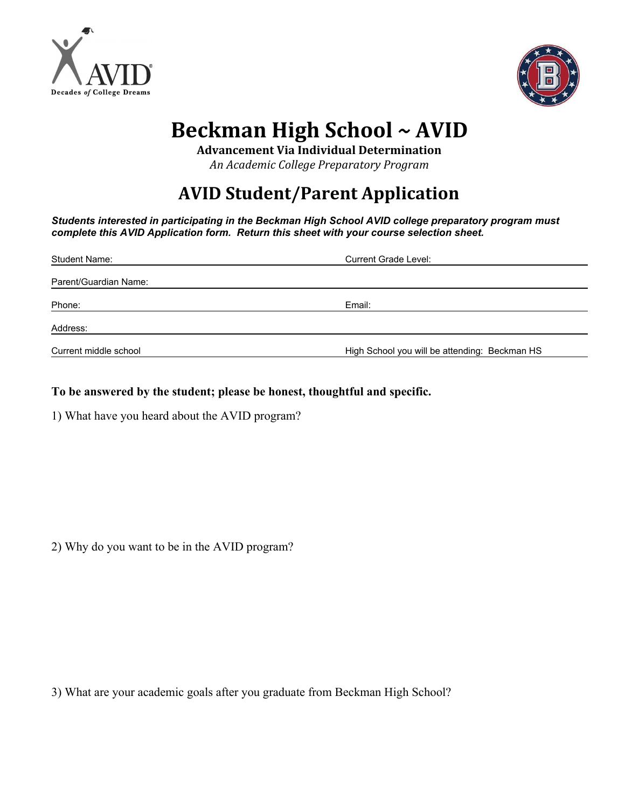



## **Beckman High School** *~* **AVID**

**Advancement Via Individual Determination**

*An Academic College Preparatory Program*

## **AVID Student/Parent Application**

*Students interested in participating in the Beckman High School AVID college preparatory program must complete this AVID Application form. Return this sheet with your course selection sheet.*

| <b>Student Name:</b>  | <b>Current Grade Level:</b>                   |
|-----------------------|-----------------------------------------------|
| Parent/Guardian Name: |                                               |
| Phone:                | Email:                                        |
| Address:              |                                               |
| Current middle school | High School you will be attending: Beckman HS |

## **To be answered by the student; please be honest, thoughtful and specific.**

1) What have you heard about the AVID program?

2) Why do you want to be in the AVID program?

3) What are your academic goals after you graduate from Beckman High School?